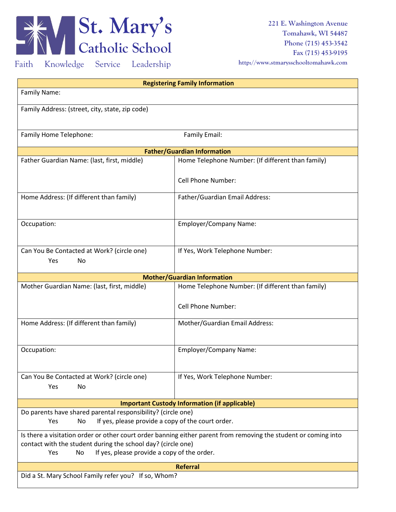

**221 E. Washington Avenue Tomahawk, WI 54487 Phone (715) 453-3542 Fax (715) 453-9195 http://www.stmarysschooltomahawk.com**

Faith Knowledge Service Leadership

| <b>Registering Family Information</b>                           |                                                                                                                 |  |  |
|-----------------------------------------------------------------|-----------------------------------------------------------------------------------------------------------------|--|--|
| <b>Family Name:</b>                                             |                                                                                                                 |  |  |
|                                                                 |                                                                                                                 |  |  |
| Family Address: (street, city, state, zip code)                 |                                                                                                                 |  |  |
|                                                                 |                                                                                                                 |  |  |
| Family Home Telephone:                                          | Family Email:                                                                                                   |  |  |
|                                                                 |                                                                                                                 |  |  |
|                                                                 | <b>Father/Guardian Information</b>                                                                              |  |  |
| Father Guardian Name: (last, first, middle)                     | Home Telephone Number: (If different than family)                                                               |  |  |
|                                                                 |                                                                                                                 |  |  |
|                                                                 | <b>Cell Phone Number:</b>                                                                                       |  |  |
| Home Address: (If different than family)                        | Father/Guardian Email Address:                                                                                  |  |  |
|                                                                 |                                                                                                                 |  |  |
|                                                                 |                                                                                                                 |  |  |
| Occupation:                                                     | <b>Employer/Company Name:</b>                                                                                   |  |  |
|                                                                 |                                                                                                                 |  |  |
| Can You Be Contacted at Work? (circle one)                      | If Yes, Work Telephone Number:                                                                                  |  |  |
| Yes<br>No                                                       |                                                                                                                 |  |  |
|                                                                 |                                                                                                                 |  |  |
|                                                                 | <b>Mother/Guardian Information</b>                                                                              |  |  |
| Mother Guardian Name: (last, first, middle)                     | Home Telephone Number: (If different than family)                                                               |  |  |
|                                                                 |                                                                                                                 |  |  |
|                                                                 | <b>Cell Phone Number:</b>                                                                                       |  |  |
| Home Address: (If different than family)                        | Mother/Guardian Email Address:                                                                                  |  |  |
|                                                                 |                                                                                                                 |  |  |
|                                                                 |                                                                                                                 |  |  |
| Occupation:                                                     | <b>Employer/Company Name:</b>                                                                                   |  |  |
|                                                                 |                                                                                                                 |  |  |
| Can You Be Contacted at Work? (circle one)                      | If Yes, Work Telephone Number:                                                                                  |  |  |
| <b>No</b><br>Yes                                                |                                                                                                                 |  |  |
|                                                                 |                                                                                                                 |  |  |
|                                                                 | <b>Important Custody Information (if applicable)</b>                                                            |  |  |
| Do parents have shared parental responsibility? (circle one)    |                                                                                                                 |  |  |
| If yes, please provide a copy of the court order.<br>Yes<br>No. |                                                                                                                 |  |  |
|                                                                 | Is there a visitation order or other court order banning either parent from removing the student or coming into |  |  |
| contact with the student during the school day? (circle one)    |                                                                                                                 |  |  |
| If yes, please provide a copy of the order.<br>Yes<br>No        |                                                                                                                 |  |  |
|                                                                 | <b>Referral</b>                                                                                                 |  |  |
| Did a St. Mary School Family refer you? If so, Whom?            |                                                                                                                 |  |  |
|                                                                 |                                                                                                                 |  |  |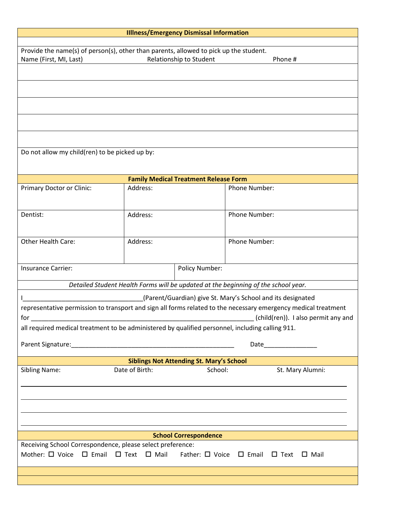| <b>Illiness/Emergency Dismissal Information</b>                                                                        |                                                 |                                                 |                                                                                                                |  |
|------------------------------------------------------------------------------------------------------------------------|-------------------------------------------------|-------------------------------------------------|----------------------------------------------------------------------------------------------------------------|--|
| Provide the name(s) of person(s), other than parents, allowed to pick up the student.                                  |                                                 |                                                 |                                                                                                                |  |
| Name (First, MI, Last)                                                                                                 |                                                 | Relationship to Student                         | Phone #                                                                                                        |  |
|                                                                                                                        |                                                 |                                                 |                                                                                                                |  |
|                                                                                                                        |                                                 |                                                 |                                                                                                                |  |
|                                                                                                                        |                                                 |                                                 |                                                                                                                |  |
|                                                                                                                        |                                                 |                                                 |                                                                                                                |  |
|                                                                                                                        |                                                 |                                                 |                                                                                                                |  |
|                                                                                                                        |                                                 |                                                 |                                                                                                                |  |
|                                                                                                                        |                                                 |                                                 |                                                                                                                |  |
| Do not allow my child(ren) to be picked up by:                                                                         |                                                 |                                                 |                                                                                                                |  |
|                                                                                                                        |                                                 |                                                 |                                                                                                                |  |
|                                                                                                                        |                                                 | <b>Family Medical Treatment Release Form</b>    |                                                                                                                |  |
| Primary Doctor or Clinic:                                                                                              | Address:                                        |                                                 | Phone Number:                                                                                                  |  |
|                                                                                                                        |                                                 |                                                 |                                                                                                                |  |
| Dentist:                                                                                                               | Address:                                        |                                                 | Phone Number:                                                                                                  |  |
|                                                                                                                        |                                                 |                                                 |                                                                                                                |  |
|                                                                                                                        |                                                 |                                                 |                                                                                                                |  |
| Other Health Care:                                                                                                     | Address:                                        |                                                 | Phone Number:                                                                                                  |  |
|                                                                                                                        |                                                 |                                                 |                                                                                                                |  |
| <b>Insurance Carrier:</b>                                                                                              |                                                 | Policy Number:                                  |                                                                                                                |  |
|                                                                                                                        |                                                 |                                                 |                                                                                                                |  |
|                                                                                                                        |                                                 |                                                 | Detailed Student Health Forms will be updated at the beginning of the school year.                             |  |
|                                                                                                                        |                                                 |                                                 | (Parent/Guardian) give St. Mary's School and its designated                                                    |  |
|                                                                                                                        |                                                 |                                                 | representative permission to transport and sign all forms related to the necessary emergency medical treatment |  |
| for                                                                                                                    | <u> 1999 - Johann John Stone, mars et al. (</u> |                                                 | (child(ren)). I also permit any and                                                                            |  |
| all required medical treatment to be administered by qualified personnel, including calling 911.                       |                                                 |                                                 |                                                                                                                |  |
|                                                                                                                        |                                                 |                                                 |                                                                                                                |  |
|                                                                                                                        |                                                 | <b>Siblings Not Attending St. Mary's School</b> |                                                                                                                |  |
| <b>Sibling Name:</b>                                                                                                   | Date of Birth:                                  | School:                                         | St. Mary Alumni:                                                                                               |  |
|                                                                                                                        |                                                 |                                                 |                                                                                                                |  |
|                                                                                                                        |                                                 |                                                 |                                                                                                                |  |
|                                                                                                                        |                                                 |                                                 |                                                                                                                |  |
|                                                                                                                        |                                                 |                                                 |                                                                                                                |  |
|                                                                                                                        |                                                 |                                                 |                                                                                                                |  |
|                                                                                                                        |                                                 | <b>School Correspondence</b>                    |                                                                                                                |  |
| Receiving School Correspondence, please select preference:                                                             |                                                 |                                                 |                                                                                                                |  |
| Mother: $\Box$ Voice $\Box$ Email $\Box$ Text $\Box$ Mail<br>Father: $\Box$ Voice $\Box$ Email $\Box$ Text $\Box$ Mail |                                                 |                                                 |                                                                                                                |  |
|                                                                                                                        |                                                 |                                                 |                                                                                                                |  |
|                                                                                                                        |                                                 |                                                 |                                                                                                                |  |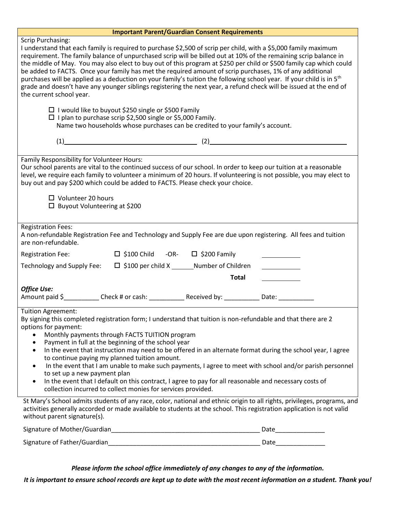| <b>Important Parent/Guardian Consent Requirements</b>                                                                                                                                                                                                                                                                                                                                                                                                                                                                                                                                                                                                                                                                                                                                    |
|------------------------------------------------------------------------------------------------------------------------------------------------------------------------------------------------------------------------------------------------------------------------------------------------------------------------------------------------------------------------------------------------------------------------------------------------------------------------------------------------------------------------------------------------------------------------------------------------------------------------------------------------------------------------------------------------------------------------------------------------------------------------------------------|
| <b>Scrip Purchasing:</b><br>I understand that each family is required to purchase \$2,500 of scrip per child, with a \$5,000 family maximum<br>requirement. The family balance of unpurchased scrip will be billed out at 10% of the remaining scrip balance in<br>the middle of May. You may also elect to buy out of this program at \$250 per child or \$500 family cap which could<br>be added to FACTS. Once your family has met the required amount of scrip purchases, 1% of any additional<br>purchases will be applied as a deduction on your family's tuition the following school year. If your child is in 5 <sup>th</sup><br>grade and doesn't have any younger siblings registering the next year, a refund check will be issued at the end of<br>the current school year. |
| □ I would like to buyout \$250 single or \$500 Family<br>$\Box$ I plan to purchase scrip \$2,500 single or \$5,000 Family.<br>Name two households whose purchases can be credited to your family's account.                                                                                                                                                                                                                                                                                                                                                                                                                                                                                                                                                                              |
| $(1)$ $(2)$                                                                                                                                                                                                                                                                                                                                                                                                                                                                                                                                                                                                                                                                                                                                                                              |
| Family Responsibility for Volunteer Hours:<br>Our school parents are vital to the continued success of our school. In order to keep our tuition at a reasonable<br>level, we require each family to volunteer a minimum of 20 hours. If volunteering is not possible, you may elect to<br>buy out and pay \$200 which could be added to FACTS. Please check your choice.                                                                                                                                                                                                                                                                                                                                                                                                                 |
| $\Box$ Volunteer 20 hours<br>$\Box$ Buyout Volunteering at \$200                                                                                                                                                                                                                                                                                                                                                                                                                                                                                                                                                                                                                                                                                                                         |
| <b>Registration Fees:</b><br>A non-refundable Registration Fee and Technology and Supply Fee are due upon registering. All fees and tuition<br>are non-refundable.                                                                                                                                                                                                                                                                                                                                                                                                                                                                                                                                                                                                                       |
| $\Box$ \$100 Child -OR- $\Box$ \$200 Family<br><b>Registration Fee:</b>                                                                                                                                                                                                                                                                                                                                                                                                                                                                                                                                                                                                                                                                                                                  |
| Technology and Supply Fee: □ \$100 per child X _______ Number of Children                                                                                                                                                                                                                                                                                                                                                                                                                                                                                                                                                                                                                                                                                                                |
| <b>Total</b>                                                                                                                                                                                                                                                                                                                                                                                                                                                                                                                                                                                                                                                                                                                                                                             |
| <b>Office Use:</b><br>Amount paid \$ ____________Check # or cash: ______________Received by: ____________Date: ___________                                                                                                                                                                                                                                                                                                                                                                                                                                                                                                                                                                                                                                                               |
| <b>Tuition Agreement:</b><br>By signing this completed registration form; I understand that tuition is non-refundable and that there are 2<br>options for payment:<br>Monthly payments through FACTS TUITION program<br>Payment in full at the beginning of the school year<br>٠<br>In the event that instruction may need to be offered in an alternate format during the school year, I agree<br>$\bullet$<br>to continue paying my planned tuition amount.<br>In the event that I am unable to make such payments, I agree to meet with school and/or parish personnel<br>٠<br>to set up a new payment plan<br>In the event that I default on this contract, I agree to pay for all reasonable and necessary costs of<br>collection incurred to collect monies for services provided. |
| St Mary's School admits students of any race, color, national and ethnic origin to all rights, privileges, programs, and<br>activities generally accorded or made available to students at the school. This registration application is not valid<br>without parent signature(s).                                                                                                                                                                                                                                                                                                                                                                                                                                                                                                        |
| Date and the set of the set of the set of the set of the set of the set of the set of the set of the set of th                                                                                                                                                                                                                                                                                                                                                                                                                                                                                                                                                                                                                                                                           |
| Signature of Father/Guardian_                                                                                                                                                                                                                                                                                                                                                                                                                                                                                                                                                                                                                                                                                                                                                            |

*Please inform the school office immediately of any changes to any of the information.*

*It is important to ensure school records are kept up to date with the most recent information on a student. Thank you!*